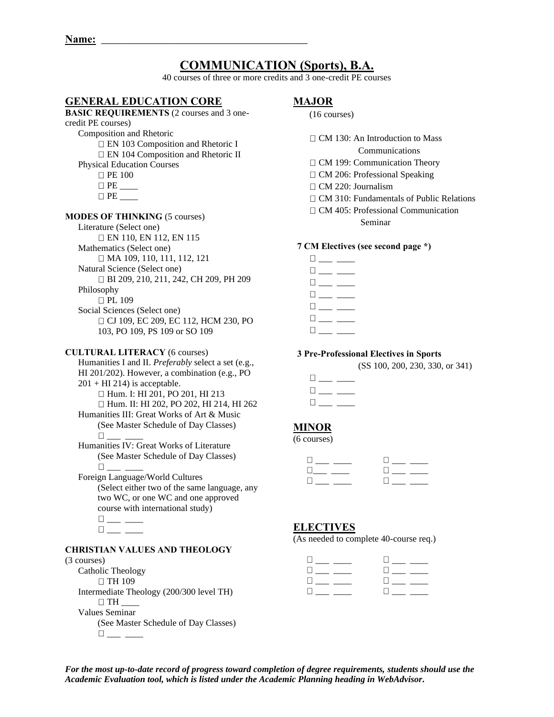# **COMMUNICATION (Sports), B.A.**

40 courses of three or more credits and 3 one-credit PE courses

## **GENERAL EDUCATION CORE**

## **BASIC REQUIREMENTS** (2 courses and 3 onecredit PE courses) Composition and Rhetoric EN 103 Composition and Rhetoric I EN 104 Composition and Rhetoric II Physical Education Courses **D** PE 100  $\Box$  PE \_\_\_\_\_\_\_  $\Box$  PE **MODES OF THINKING** (5 courses) Literature (Select one) EN 110, EN 112, EN 115 Mathematics (Select one) □ MA 109, 110, 111, 112, 121 Natural Science (Select one) BI 209, 210, 211, 242, CH 209, PH 209 Philosophy □ PL 109 Social Sciences (Select one) □ CJ 109, EC 209, EC 112, HCM 230, PO 103, PO 109, PS 109 or SO 109 **CULTURAL LITERACY** (6 courses) Humanities I and II. *Preferably* select a set (e.g., HI 201/202). However, a combination (e.g., PO  $201 + HI$  214) is acceptable. □ Hum. I: HI 201, PO 201, HI 213

Hum. II: HI 202, PO 202, HI 214, HI 262 Humanities III: Great Works of Art & Music (See Master Schedule of Day Classes) \_\_\_ \_\_\_\_

Humanities IV: Great Works of Literature (See Master Schedule of Day Classes) \_\_\_ \_\_\_\_

Foreign Language/World Cultures (Select either two of the same language, any two WC, or one WC and one approved course with international study)  $\square_{\_\_\_\_\_\_\_\_\_\_\_\_\_\_\_\_\_}$  $\square_{\textit{max}} \xrightarrow{\hspace*{1.5cm}}$ 

#### **CHRISTIAN VALUES AND THEOLOGY**

#### (3 courses)

Catholic Theology □ TH 109 Intermediate Theology (200/300 level TH)  $\Box$  TH Values Seminar (See Master Schedule of Day Classes)  $\Box$ 

## **MAJOR**

#### (16 courses)

 $\Box$  CM 130: An Introduction to Mass

Communications

- □ CM 199: Communication Theory
- □ CM 206: Professional Speaking
- $\Box$  CM 220: Journalism
- □ CM 310: Fundamentals of Public Relations
- CM 405: Professional Communication Seminar

#### **7 CM Electives (see second page \*)**

 $\Box \hspace{0.1cm} \underline{\hspace{0.1cm}} \rule{0.1cm}{0.1cm} \underline{\hspace{0.1cm}} \rule{0.1cm}{0.1cm} \underline{\hspace{0.1cm}} \rule{0.1cm}{0.1cm} \underline{\hspace{0.1cm}} \rule{0.1cm}{0.1cm} \underline{\hspace{0.1cm}} \rule{0.1cm} \underline{\hspace{0.1cm}} \underline{\hspace{0.1cm}} \rule{0.1cm}{0.1cm} \underline{\hspace{0.1cm}} \underline{\hspace{0.1cm}} \rule{0.1cm}{0.1cm} \underline{\hspace{0.1cm}} \underline{\hspace{0.1cm}} \underline$  $\square$  \_\_  $\square_{\textit{max}} \xrightarrow{\hspace{0.5cm}}$  $\Box$  $\Box$  $\square_{\textit{max}} \xrightarrow{\hspace{0.05cm}}$  $\Box$ 

#### **3 Pre-Professional Electives in Sports**

(SS 100, 200, 230, 330, or 341)

| $\mathbb{L}$ |  |
|--------------|--|
| H            |  |
| $\Box$       |  |

## **MINOR**

(6 courses)

| $\Box$       |        |
|--------------|--------|
| $\mathbf{1}$ | H.     |
| $\mathbf{H}$ | $\Box$ |

## **ELECTIVES**

(As needed to complete 40-course req.)

| $\mathbf{1}$                         |                      |
|--------------------------------------|----------------------|
| <b>The Communist Communist State</b> | $\Box$               |
| The contract of the con-             | <b>Communication</b> |
| $\mathbf{1}$                         | H                    |

*For the most up-to-date record of progress toward completion of degree requirements, students should use the Academic Evaluation tool, which is listed under the Academic Planning heading in WebAdvisor.*